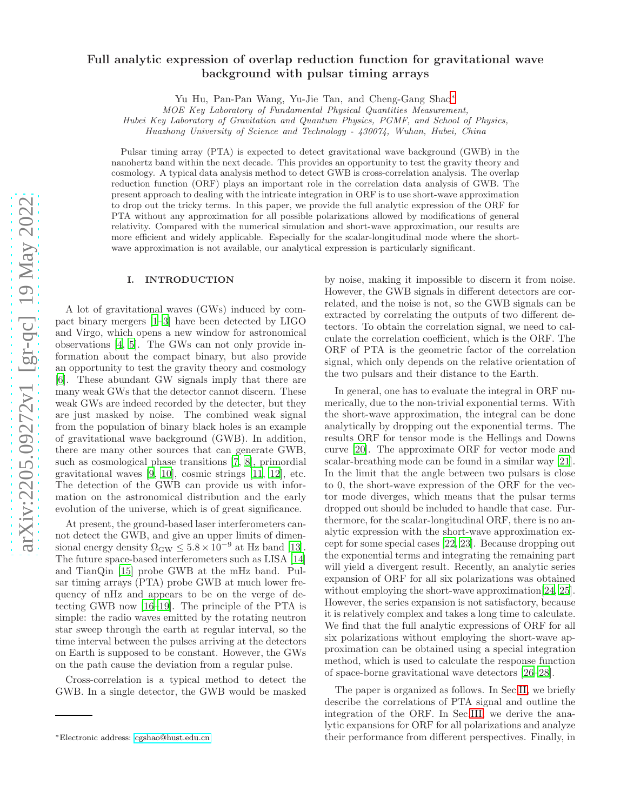# Full analytic expression of overlap reduction function for gravitational wave background with pulsar timing arrays

Yu Hu, Pan-Pan Wang, Yu-Jie Tan, and Cheng-Gang Shao[∗](#page-0-0)

MOE Key Laboratory of Fundamental Physical Quantities Measurement,

Hubei Key Laboratory of Gravitation and Quantum Physics, PGMF, and School of Physics,

Huazhong University of Science and Technology - 430074, Wuhan, Hubei, China

Pulsar timing array (PTA) is expected to detect gravitational wave background (GWB) in the nanohertz band within the next decade. This provides an opportunity to test the gravity theory and cosmology. A typical data analysis method to detect GWB is cross-correlation analysis. The overlap reduction function (ORF) plays an important role in the correlation data analysis of GWB. The present approach to dealing with the intricate integration in ORF is to use short-wave approximation to drop out the tricky terms. In this paper, we provide the full analytic expression of the ORF for PTA without any approximation for all possible polarizations allowed by modifications of general relativity. Compared with the numerical simulation and short-wave approximation, our results are more efficient and widely applicable. Especially for the scalar-longitudinal mode where the shortwave approximation is not available, our analytical expression is particularly significant.

#### I. INTRODUCTION

A lot of gravitational waves (GWs) induced by compact binary mergers [\[1](#page-12-0)[–3](#page-12-1)] have been detected by LIGO and Virgo, which opens a new window for astronomical observations [\[4,](#page-12-2) [5](#page-12-3)]. The GWs can not only provide information about the compact binary, but also provide an opportunity to test the gravity theory and cosmology [\[6\]](#page-12-4). These abundant GW signals imply that there are many weak GWs that the detector cannot discern. These weak GWs are indeed recorded by the detecter, but they are just masked by noise. The combined weak signal from the population of binary black holes is an example of gravitational wave background (GWB). In addition, there are many other sources that can generate GWB, such as cosmological phase transitions [\[7,](#page-12-5) [8](#page-12-6)], primordial gravitational waves [\[9,](#page-12-7) [10\]](#page-12-8), cosmic strings [\[11,](#page-12-9) [12\]](#page-12-10), etc. The detection of the GWB can provide us with information on the astronomical distribution and the early evolution of the universe, which is of great significance.

At present, the ground-based laser interferometers cannot detect the GWB, and give an upper limits of dimensional energy density  $\Omega_{\rm GW} \leq 5.8 \times 10^{-9}$  at Hz band [\[13\]](#page-12-11). The future space-based interferometers such as LISA [\[14](#page-12-12)] and TianQin [\[15\]](#page-12-13) probe GWB at the mHz band. Pulsar timing arrays (PTA) probe GWB at much lower frequency of nHz and appears to be on the verge of detecting GWB now [\[16](#page-12-14)[–19](#page-12-15)]. The principle of the PTA is simple: the radio waves emitted by the rotating neutron star sweep through the earth at regular interval, so the time interval between the pulses arriving at the detectors on Earth is supposed to be constant. However, the GWs on the path cause the deviation from a regular pulse.

Cross-correlation is a typical method to detect the GWB. In a single detector, the GWB would be masked

by noise, making it impossible to discern it from noise. However, the GWB signals in different detectors are correlated, and the noise is not, so the GWB signals can be extracted by correlating the outputs of two different detectors. To obtain the correlation signal, we need to calculate the correlation coefficient, which is the ORF. The ORF of PTA is the geometric factor of the correlation signal, which only depends on the relative orientation of the two pulsars and their distance to the Earth.

In general, one has to evaluate the integral in ORF numerically, due to the non-trivial exponential terms. With the short-wave approximation, the integral can be done analytically by dropping out the exponential terms. The results ORF for tensor mode is the Hellings and Downs curve [\[20\]](#page-12-16). The approximate ORF for vector mode and scalar-breathing mode can be found in a similar way [\[21\]](#page-12-17). In the limit that the angle between two pulsars is close to 0, the short-wave expression of the ORF for the vector mode diverges, which means that the pulsar terms dropped out should be included to handle that case. Furthermore, for the scalar-longitudinal ORF, there is no analytic expression with the short-wave approximation except for some special cases [\[22,](#page-12-18) [23\]](#page-12-19). Because dropping out the exponential terms and integrating the remaining part will yield a divergent result. Recently, an analytic series expansion of ORF for all six polarizations was obtained without employing the short-wave approximation [\[24,](#page-12-20) [25\]](#page-12-21). However, the series expansion is not satisfactory, because it is relatively complex and takes a long time to calculate. We find that the full analytic expressions of ORF for all six polarizations without employing the short-wave approximation can be obtained using a special integration method, which is used to calculate the response function of space-borne gravitational wave detectors [\[26](#page-12-22)[–28\]](#page-12-23).

The paper is organized as follows. In Sec[.II,](#page-1-0) we briefly describe the correlations of PTA signal and outline the integration of the ORF. In Sec[.III,](#page-1-1) we derive the analytic expansions for ORF for all polarizations and analyze their performance from different perspectives. Finally, in

<span id="page-0-0"></span><sup>∗</sup>Electronic address: [cgshao@hust.edu.cn](mailto:cgshao@hust.edu.cn)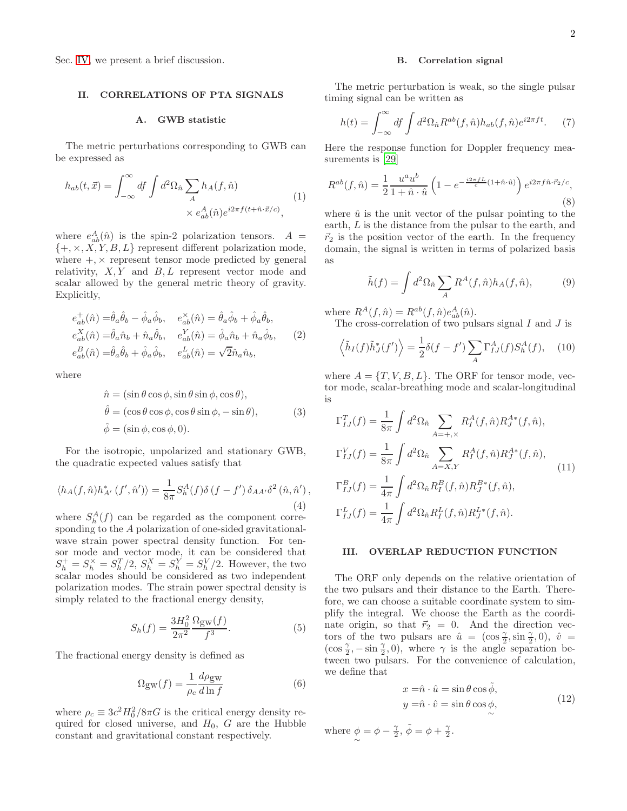Sec. [IV,](#page-7-0) we present a brief discussion.

## <span id="page-1-0"></span>II. CORRELATIONS OF PTA SIGNALS

## A. GWB statistic

The metric perturbations corresponding to GWB can be expressed as

$$
h_{ab}(t, \vec{x}) = \int_{-\infty}^{\infty} df \int d^2 \Omega_{\hat{n}} \sum_A h_A(f, \hat{n}) \times e_{ab}^A(\hat{n}) e^{i2\pi f(t + \hat{n} \cdot \vec{x}/c)}, \qquad (1)
$$

where  $e_{ab}^A(\hat{n})$  is the spin-2 polarization tensors.  $A =$  $\{+, \times, X, Y, B, L\}$  represent different polarization mode, where  $+$ ,  $\times$  represent tensor mode predicted by general relativity,  $X, Y$  and  $B, L$  represent vector mode and scalar allowed by the general metric theory of gravity. Explicitly,

$$
\begin{aligned}\ne_{ab}^+(\hat{n}) &= \hat{\theta}_a \hat{\theta}_b - \hat{\phi}_a \hat{\phi}_b, & e_{ab}^\times(\hat{n}) &= \hat{\theta}_a \hat{\phi}_b + \hat{\phi}_a \hat{\theta}_b, \\
e_{ab}^X(\hat{n}) &= \hat{\theta}_a \hat{n}_b + \hat{n}_a \hat{\theta}_b, & e_{ab}^Y(\hat{n}) &= \hat{\phi}_a \hat{n}_b + \hat{n}_a \hat{\phi}_b, \\
e_{ab}^B(\hat{n}) &= \hat{\theta}_a \hat{\theta}_b + \hat{\phi}_a \hat{\phi}_b, & e_{ab}^L(\hat{n}) &= \sqrt{2} \hat{n}_a \hat{n}_b,\n\end{aligned} \tag{2}
$$

where

$$
\hat{n} = (\sin \theta \cos \phi, \sin \theta \sin \phi, \cos \theta), \n\hat{\theta} = (\cos \theta \cos \phi, \cos \theta \sin \phi, -\sin \theta), \n\hat{\phi} = (\sin \phi, \cos \phi, 0).
$$
\n(3)

For the isotropic, unpolarized and stationary GWB, the quadratic expected values satisfy that

$$
\langle h_A(f, \hat{n}) h^*_{A'}(f', \hat{n}') \rangle = \frac{1}{8\pi} S_h^A(f) \delta(f - f') \delta_{AA'} \delta^2(\hat{n}, \hat{n}'),
$$
\n(4)

where  $S_h^A(f)$  can be regarded as the component corresponding to the A polarization of one-sided gravitationalwave strain power spectral density function. For tensor mode and vector mode, it can be considered that  $S_h^+ = S_h^{\times} = S_h^T/2$ ,  $S_h^X = S_h^Y = S_h^V/2$ . However, the two scalar modes should be considered as two independent polarization modes. The strain power spectral density is simply related to the fractional energy density,

$$
S_h(f) = \frac{3H_0^2}{2\pi^2} \frac{\Omega_{\text{gw}}(f)}{f^3}.
$$
 (5)

The fractional energy density is defined as

$$
\Omega_{\rm gw}(f) = \frac{1}{\rho_c} \frac{d\rho_{\rm gw}}{d\ln f} \tag{6}
$$

where  $\rho_c \equiv 3c^2H_0^2/8\pi G$  is the critical energy density required for closed universe, and  $H_0$ ,  $G$  are the Hubble constant and gravitational constant respectively.

#### B. Correlation signal

The metric perturbation is weak, so the single pulsar timing signal can be written as

$$
h(t) = \int_{-\infty}^{\infty} df \int d^2 \Omega_{\hat{n}} R^{ab}(f, \hat{n}) h_{ab}(f, \hat{n}) e^{i2\pi ft}.
$$
 (7)

Here the response function for Doppler frequency measurements is [\[29\]](#page-12-24)

$$
R^{ab}(f,\hat{n}) = \frac{1}{2} \frac{u^a u^b}{1 + \hat{n} \cdot \hat{u}} \left(1 - e^{-\frac{i2\pi f L}{c}(1 + \hat{n} \cdot \hat{u})}\right) e^{i2\pi f \hat{n} \cdot \vec{r}_2/c},\tag{8}
$$

where  $\hat{u}$  is the unit vector of the pulsar pointing to the earth, L is the distance from the pulsar to the earth, and  $\vec{r}_2$  is the position vector of the earth. In the frequency domain, the signal is written in terms of polarized basis as

$$
\tilde{h}(f) = \int d^2 \Omega_{\hat{n}} \sum_A R^A(f, \hat{n}) h_A(f, \hat{n}), \tag{9}
$$

where  $R^A(f, \hat{n}) = R^{ab}(f, \hat{n})e^A_{ab}(\hat{n}).$ 

The cross-correlation of two pulsars signal  $I$  and  $J$  is

$$
\left\langle \tilde{h}_I(f)\tilde{h}_J^*(f') \right\rangle = \frac{1}{2}\delta(f - f') \sum_A \Gamma^A_{IJ}(f) S_h^A(f), \quad (10)
$$

where  $A = \{T, V, B, L\}$ . The ORF for tensor mode, vector mode, scalar-breathing mode and scalar-longitudinal is

$$
\Gamma_{IJ}^T(f) = \frac{1}{8\pi} \int d^2\Omega_{\hat{n}} \sum_{A=+,\times} R_I^A(f, \hat{n}) R_J^{A*}(f, \hat{n}),
$$
  
\n
$$
\Gamma_{IJ}^V(f) = \frac{1}{8\pi} \int d^2\Omega_{\hat{n}} \sum_{A=X,Y} R_I^A(f, \hat{n}) R_J^{A*}(f, \hat{n}),
$$
  
\n
$$
\Gamma_{IJ}^B(f) = \frac{1}{4\pi} \int d^2\Omega_{\hat{n}} R_I^B(f, \hat{n}) R_J^{B*}(f, \hat{n}),
$$
  
\n
$$
\Gamma_{IJ}^L(f) = \frac{1}{4\pi} \int d^2\Omega_{\hat{n}} R_I^L(f, \hat{n}) R_J^{L*}(f, \hat{n}).
$$
\n(11)

#### <span id="page-1-1"></span>III. OVERLAP REDUCTION FUNCTION

The ORF only depends on the relative orientation of the two pulsars and their distance to the Earth. Therefore, we can choose a suitable coordinate system to simplify the integral. We choose the Earth as the coordinate origin, so that  $\vec{r}_2 = 0$ . And the direction vectors of the two pulsars are  $\hat{u} = (\cos \frac{\gamma}{2}, \sin \frac{\gamma}{2}, 0), \hat{v} =$  $(\cos \frac{\gamma}{2}, -\sin \frac{\gamma}{2}, 0)$ , where  $\gamma$  is the angle separation between two pulsars. For the convenience of calculation, we define that

$$
x = \hat{n} \cdot \hat{u} = \sin \theta \cos \tilde{\phi},
$$
  
\n
$$
y = \hat{n} \cdot \hat{v} = \sin \theta \cos \phi,
$$
  
\n(12)

where  $\phi = \phi - \frac{\gamma}{2}, \tilde{\phi} = \phi + \frac{\gamma}{2}.$ ∼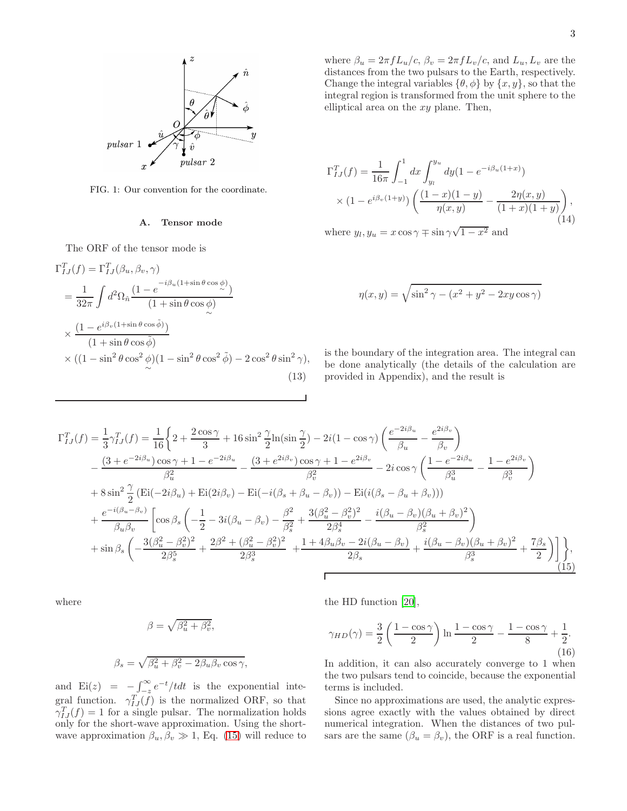

FIG. 1: Our convention for the coordinate.

#### A. Tensor mode

The ORF of the tensor mode is

$$
\Gamma_{IJ}^T(f) = \Gamma_{IJ}^T(\beta_u, \beta_v, \gamma)
$$
  
=  $\frac{1}{32\pi} \int d^2\Omega_{\hat{n}} \frac{(1 - e^{-i\beta_u(1 + \sin\theta \cos\phi)})}{(1 + \sin\theta \cos\phi)}$   
 $\times \frac{(1 - e^{i\beta_v(1 + \sin\theta \cos\tilde{\phi})})}{(1 + \sin\theta \cos\tilde{\phi})}$   
 $\times ((1 - \sin^2\theta \cos^2\phi)(1 - \sin^2\theta \cos^2\tilde{\phi}) - 2\cos^2\theta \sin^2\gamma),$  (13)

where  $\beta_u = 2\pi f L_u/c$ ,  $\beta_v = 2\pi f L_v/c$ , and  $L_u, L_v$  are the distances from the two pulsars to the Earth, respectively. Change the integral variables  $\{\theta, \phi\}$  by  $\{x, y\}$ , so that the integral region is transformed from the unit sphere to the elliptical area on the  $xy$  plane. Then,

<span id="page-2-1"></span>
$$
\Gamma_{IJ}^T(f) = \frac{1}{16\pi} \int_{-1}^1 dx \int_{y_l}^{y_u} dy (1 - e^{-i\beta_u(1+x)})
$$

$$
\times (1 - e^{i\beta_v(1+y)}) \left( \frac{(1-x)(1-y)}{\eta(x,y)} - \frac{2\eta(x,y)}{(1+x)(1+y)} \right),
$$
(14)

where  $y_l, y_u = x \cos \gamma \mp \sin \gamma \sqrt{1 - x^2}$  and

$$
\eta(x,y) = \sqrt{\sin^2 \gamma - (x^2 + y^2 - 2xy\cos\gamma)}
$$

| is the boundary of the integration area. The integral can |  |
|-----------------------------------------------------------|--|
| be done analytically (the details of the calculation are  |  |
| provided in Appendix), and the result is                  |  |

<span id="page-2-0"></span>
$$
\Gamma_{IJ}^T(f) = \frac{1}{3}\gamma_{IJ}^T(f) = \frac{1}{16}\left\{2 + \frac{2\cos\gamma}{3} + 16\sin^2\frac{\gamma}{2}\ln(\sin\frac{\gamma}{2}) - 2i(1 - \cos\gamma)\left(\frac{e^{-2i\beta_u}}{\beta_u} - \frac{e^{2i\beta_v}}{\beta_v}\right)\right.\n-\frac{(3 + e^{-2i\beta_u})\cos\gamma + 1 - e^{-2i\beta_u}}{\beta_u^2} - \frac{(3 + e^{2i\beta_v})\cos\gamma + 1 - e^{2i\beta_v}}{\beta_v^2} - 2i\cos\gamma\left(\frac{1 - e^{-2i\beta_u}}{\beta_u^3} - \frac{1 - e^{2i\beta_v}}{\beta_v^3}\right)\n+ 8\sin^2\frac{\gamma}{2}\left(\text{Ei}(-2i\beta_u) + \text{Ei}(2i\beta_v) - \text{Ei}(-i(\beta_s + \beta_u - \beta_v)) - \text{Ei}(i(\beta_s - \beta_u + \beta_v))\right)\n+\frac{e^{-i(\beta_u - \beta_v)}}{\beta_u\beta_v}\left[\cos\beta_s\left(-\frac{1}{2} - 3i(\beta_u - \beta_v) - \frac{\beta^2}{\beta_s^2} + \frac{3(\beta_u^2 - \beta_v^2)^2}{2\beta_s^4} - \frac{i(\beta_u - \beta_v)(\beta_u + \beta_v)^2}{\beta_s^2}\right)\n+\sin\beta_s\left(-\frac{3(\beta_u^2 - \beta_v^2)^2}{2\beta_s^5} + \frac{2\beta^2 + (\beta_u^2 - \beta_v^2)^2}{2\beta_s^3} + \frac{1 + 4\beta_u\beta_v - 2i(\beta_u - \beta_v)}{2\beta_s} + \frac{i(\beta_u - \beta_v)(\beta_u + \beta_v)^2}{\beta_s^3} + \frac{7\beta_s}{2}\right)\right\},\tag{15}
$$

Г

where

$$
\beta = \sqrt{\beta_u^2 + \beta_v^2},
$$
  

$$
\beta_s = \sqrt{\beta_u^2 + \beta_v^2 - 2\beta_u\beta_v\cos\gamma},
$$

and  $\text{Ei}(z) = -\int_{-z}^{\infty} e^{-t}/t dt$  is the exponential integral function.  $\gamma_{IJ}^T(f)$  is the normalized ORF, so that  $\gamma_{IJ}^T(f) = 1$  for a single pulsar. The normalization holds only for the short-wave approximation. Using the shortwave approximation  $\beta_u, \beta_v \gg 1$ , Eq. [\(15\)](#page-2-0) will reduce to the HD function [\[20](#page-12-16)],

$$
\gamma_{HD}(\gamma) = \frac{3}{2} \left( \frac{1 - \cos \gamma}{2} \right) \ln \frac{1 - \cos \gamma}{2} - \frac{1 - \cos \gamma}{8} + \frac{1}{2}.
$$
\n(16)

In addition, it can also accurately converge to 1 when the two pulsars tend to coincide, because the exponential terms is included.

Since no approximations are used, the analytic expressions agree exactly with the values obtained by direct numerical integration. When the distances of two pulsars are the same  $(\beta_u = \beta_v)$ , the ORF is a real function.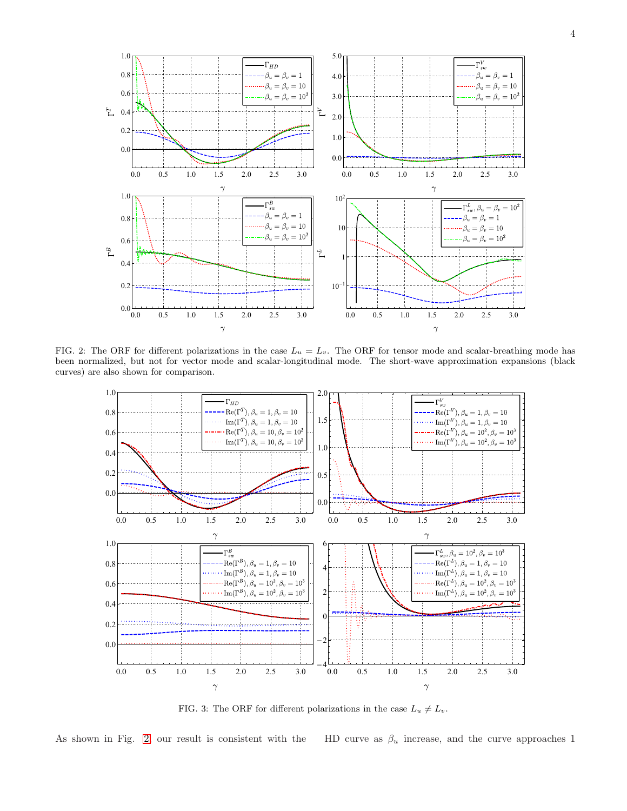

FIG. 2: The ORF for different polarizations in the case  $L_u = L_v$ . The ORF for tensor mode and scalar-breathing mode has been normalized, but not for vector mode and scalar-longitudinal mode. The short-wave approximation expansions (black curves) are also shown for comparison.

<span id="page-3-0"></span>

<span id="page-3-1"></span>FIG. 3: The ORF for different polarizations in the case  $L_u \neq L_v$ .

As shown in Fig. [2,](#page-3-0) our result is consistent with the HD curve as  $\beta_u$  increase, and the curve approaches 1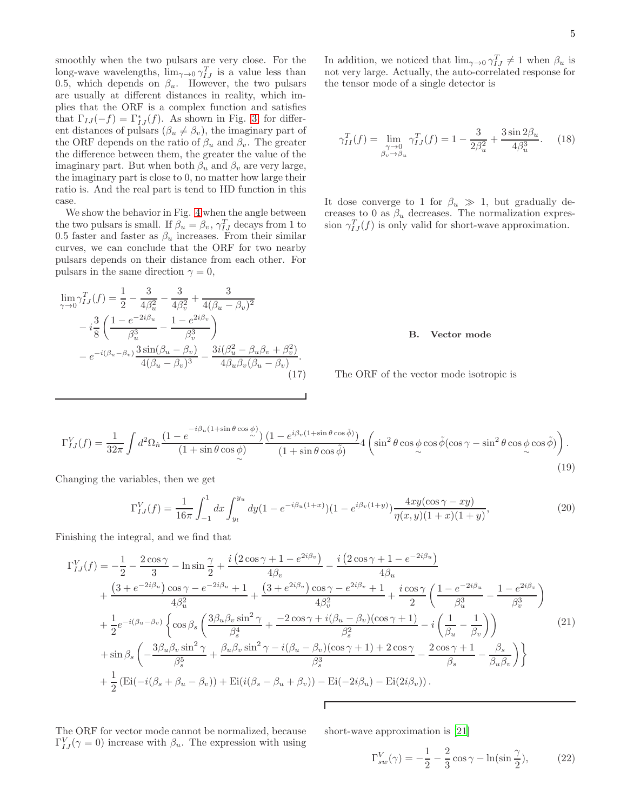5

smoothly when the two pulsars are very close. For the long-wave wavelengths,  $\lim_{\gamma \to 0} \gamma_{IJ}^T$  is a value less than 0.5, which depends on  $\beta_u$ . However, the two pulsars are usually at different distances in reality, which implies that the ORF is a complex function and satisfies that  $\Gamma_{IJ}(-f) = \Gamma^*_{IJ}(f)$ . As shown in Fig. [3,](#page-3-1) for different distances of pulsars  $(\beta_u \neq \beta_v)$ , the imaginary part of the ORF depends on the ratio of  $\beta_u$  and  $\beta_v$ . The greater the difference between them, the greater the value of the imaginary part. But when both  $\beta_u$  and  $\beta_v$  are very large, the imaginary part is close to 0, no matter how large their ratio is. And the real part is tend to HD function in this case.

We show the behavior in Fig. [4](#page-6-0) when the angle between the two pulsars is small. If  $\beta_u = \beta_v$ ,  $\gamma_{IJ}^T$  decays from 1 to 0.5 faster and faster as  $\beta_u$  increases. From their similar curves, we can conclude that the ORF for two nearby pulsars depends on their distance from each other. For pulsars in the same direction  $\gamma = 0$ ,

$$
\lim_{\gamma \to 0} \gamma_{IJ}^T(f) = \frac{1}{2} - \frac{3}{4\beta_u^2} - \frac{3}{4\beta_v^2} + \frac{3}{4(\beta_u - \beta_v)^2} \n- i \frac{3}{8} \left( \frac{1 - e^{-2i\beta_u}}{\beta_u^3} - \frac{1 - e^{2i\beta_v}}{\beta_v^3} \right) \n- e^{-i(\beta_u - \beta_v)} \frac{3 \sin(\beta_u - \beta_v)}{4(\beta_u - \beta_v)^3} - \frac{3i(\beta_u^2 - \beta_u\beta_v + \beta_v^2)}{4\beta_u\beta_v(\beta_u - \beta_v)}.
$$
\n(17)

In addition, we noticed that  $\lim_{\gamma\to 0} \gamma_{IJ}^T \neq 1$  when  $\beta_u$  is not very large. Actually, the auto-correlated response for the tensor mode of a single detector is

$$
\gamma_{II}^T(f) = \lim_{\substack{\gamma \to 0 \\ \beta_v \to \beta_u}} \gamma_{IJ}^T(f) = 1 - \frac{3}{2\beta_u^2} + \frac{3\sin 2\beta_u}{4\beta_u^3}.
$$
 (18)

It dose converge to 1 for  $\beta_u \gg 1$ , but gradually decreases to 0 as  $\beta_u$  decreases. The normalization expression  $\gamma_{IJ}^T(f)$  is only valid for short-wave approximation.

#### B. Vector mode

The ORF of the vector mode isotropic is

$$
\Gamma_{IJ}^V(f) = \frac{1}{32\pi} \int d^2\Omega_{\hat{n}} \frac{\left(1 - e^{-i\beta_u(1+\sin\theta\cos\phi)}\right)}{(1+\sin\theta\cos\phi)} \frac{\left(1 - e^{i\beta_v(1+\sin\theta\cos\tilde{\phi})}\right)}{(1+\sin\theta\cos\tilde{\phi})} 4\left(\sin^2\theta\cos\phi\cos\tilde{\phi}(\cos\gamma - \sin^2\theta\cos\phi\cos\tilde{\phi})\right). \tag{19}
$$

Changing the variables, then we get

$$
\Gamma_{IJ}^V(f) = \frac{1}{16\pi} \int_{-1}^1 dx \int_{y_l}^{y_u} dy (1 - e^{-i\beta_u(1+x)}) (1 - e^{i\beta_v(1+y)}) \frac{4xy(\cos\gamma - xy)}{\eta(x, y)(1+x)(1+y)},\tag{20}
$$

Finishing the integral, and we find that

<span id="page-4-0"></span>
$$
\Gamma_{IJ}^V(f) = -\frac{1}{2} - \frac{2\cos\gamma}{3} - \ln\sin\frac{\gamma}{2} + \frac{i(2\cos\gamma + 1 - e^{2i\beta_v})}{4\beta_v} - \frac{i(2\cos\gamma + 1 - e^{-2i\beta_u})}{4\beta_u} \n+ \frac{(3 + e^{-2i\beta_u})\cos\gamma - e^{-2i\beta_u} + 1}{4\beta_u^2} + \frac{(3 + e^{2i\beta_v})\cos\gamma - e^{2i\beta_v} + 1}{4\beta_v^2} + \frac{i\cos\gamma}{2} \left(\frac{1 - e^{-2i\beta_u}}{\beta_u^3} - \frac{1 - e^{2i\beta_v}}{\beta_v^3}\right) \n+ \frac{1}{2}e^{-i(\beta_u - \beta_v)} \left\{ \cos\beta_s \left(\frac{3\beta_u\beta_v\sin^2\gamma}{\beta_s^4} + \frac{-2\cos\gamma + i(\beta_u - \beta_v)(\cos\gamma + 1)}{\beta_s^2} - i\left(\frac{1}{\beta_u} - \frac{1}{\beta_v}\right)\right) \right\} \n+ \sin\beta_s \left(-\frac{3\beta_u\beta_v\sin^2\gamma}{\beta_s^5} + \frac{\beta_u\beta_v\sin^2\gamma - i(\beta_u - \beta_v)(\cos\gamma + 1) + 2\cos\gamma}{\beta_s^3} - \frac{2\cos\gamma + 1}{\beta_s} - \frac{\beta_s}{\beta_u\beta_v}\right) \right\} \n+ \frac{1}{2} \left( \text{Ei}(-i(\beta_s + \beta_u - \beta_v)) + \text{Ei}(i(\beta_s - \beta_u + \beta_v)) - \text{Ei}(-2i\beta_u) - \text{Ei}(2i\beta_v) \right).
$$
\n(21)

The ORF for vector mode cannot be normalized, because  $\Gamma_{IJ}^V(\gamma=0)$  increase with  $\beta_u$ . The expression with using short-wave approximation is [\[21](#page-12-17)]

<span id="page-4-1"></span>
$$
\Gamma_{sw}^V(\gamma) = -\frac{1}{2} - \frac{2}{3}\cos\gamma - \ln(\sin\frac{\gamma}{2}),\tag{22}
$$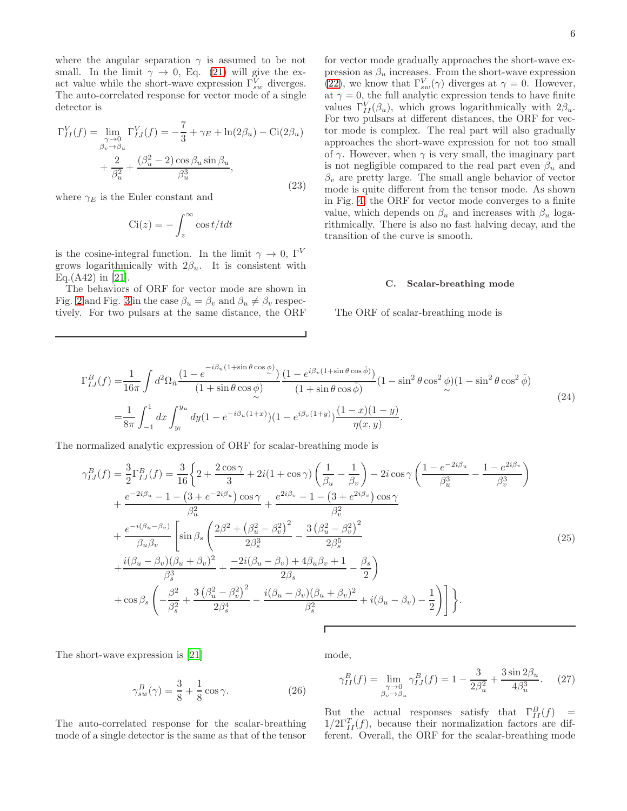where the angular separation  $\gamma$  is assumed to be not small. In the limit  $\gamma \to 0$ , Eq. [\(21\)](#page-4-0) will give the exact value while the short-wave expression  $\Gamma_{sw}^V$  diverges. The auto-correlated response for vector mode of a single detector is

$$
\Gamma_{II}^V(f) = \lim_{\substack{\gamma \to 0 \\ \beta_v \to \beta_u}} \Gamma_{IJ}^V(f) = -\frac{7}{3} + \gamma_E + \ln(2\beta_u) - \text{Ci}(2\beta_u) + \frac{2}{\beta_u^2} + \frac{(\beta_u^2 - 2)\cos\beta_u \sin\beta_u}{\beta_u^3},
$$
\n(23)

where  $\gamma_E$  is the Euler constant and

$$
\text{Ci}(z) = -\int_z^{\infty} \cos t/t dt
$$

is the cosine-integral function. In the limit  $\gamma \to 0$ , Γ<sup>V</sup> grows logarithmically with  $2\beta_u$ . It is consistent with Eq.(A42) in [\[21\]](#page-12-17).

The behaviors of ORF for vector mode are shown in Fig. [2](#page-3-0) and Fig. [3](#page-3-1) in the case  $\beta_u = \beta_v$  and  $\beta_u \neq \beta_v$  respectively. For two pulsars at the same distance, the ORF

for vector mode gradually approaches the short-wave expression as  $\beta_u$  increases. From the short-wave expression [\(22\)](#page-4-1), we know that  $\Gamma_{sw}^V(\gamma)$  diverges at  $\gamma = 0$ . However, at  $\gamma = 0$ , the full analytic expression tends to have finite values  $\Gamma_{II}^V(\beta_u)$ , which grows logarithmically with  $2\beta_u$ . For two pulsars at different distances, the ORF for vector mode is complex. The real part will also gradually approaches the short-wave expression for not too small of  $\gamma$ . However, when  $\gamma$  is very small, the imaginary part is not negligible compared to the real part even  $\beta_u$  and  $\beta_v$  are pretty large. The small angle behavior of vector mode is quite different from the tensor mode. As shown in Fig. [4,](#page-6-0) the ORF for vector mode converges to a finite value, which depends on  $\beta_u$  and increases with  $\beta_u$  logarithmically. There is also no fast halving decay, and the transition of the curve is smooth.

#### C. Scalar-breathing mode

The ORF of scalar-breathing mode is

$$
\Gamma_{IJ}^{B}(f) = \frac{1}{16\pi} \int d^{2}\Omega_{\hat{n}} \frac{(1 - e^{-i\beta_{u}(1 + \sin\theta\cos\phi)})}{(1 + \sin\theta\cos\phi)} \frac{(1 - e^{i\beta_{v}(1 + \sin\theta\cos\phi)})}{(1 + \sin\theta\cos\phi)} (1 - \sin^{2}\theta\cos^{2}\phi)(1 - \sin^{2}\theta\cos^{2}\phi)
$$
  
= 
$$
\frac{1}{8\pi} \int_{-1}^{1} dx \int_{y_{l}}^{y_{u}} dy (1 - e^{-i\beta_{u}(1+x)}) (1 - e^{i\beta_{v}(1+y)}) \frac{(1 - x)(1 - y)}{\eta(x, y)}.
$$
 (24)

The normalized analytic expression of ORF for scalar-breathing mode is

$$
\gamma_{IJ}^{B}(f) = \frac{3}{2} \Gamma_{IJ}^{B}(f) = \frac{3}{16} \left\{ 2 + \frac{2 \cos \gamma}{3} + 2i(1 + \cos \gamma) \left( \frac{1}{\beta_u} - \frac{1}{\beta_v} \right) - 2i \cos \gamma \left( \frac{1 - e^{-2i\beta_u}}{\beta_u^3} - \frac{1 - e^{2i\beta_v}}{\beta_v^3} \right) \right\}
$$
  
+ 
$$
\frac{e^{-2i\beta_u} - 1 - (3 + e^{-2i\beta_u}) \cos \gamma}{\beta_u^2} + \frac{e^{2i\beta_v} - 1 - (3 + e^{2i\beta_v}) \cos \gamma}{\beta_v^2}
$$
  
+ 
$$
\frac{e^{-i(\beta_u - \beta_v)}}{\beta_u \beta_v} \left[ \sin \beta_s \left( \frac{2\beta^2 + (\beta_u^2 - \beta_v^2)^2}{2\beta_s^3} - \frac{3(\beta_u^2 - \beta_v^2)^2}{2\beta_s^5} \right) \right] + \frac{i(\beta_u - \beta_v)(\beta_u + \beta_v)^2}{\beta_s^3} + \frac{-2i(\beta_u - \beta_v) + 4\beta_u \beta_v + 1}{2\beta_s} - \frac{\beta_s}{2} \right)
$$
  
+ 
$$
\cos \beta_s \left( -\frac{\beta^2}{\beta_s^2} + \frac{3(\beta_u^2 - \beta_v^2)^2}{2\beta_s^4} - \frac{i(\beta_u - \beta_v)(\beta_u + \beta_v)^2}{\beta_s^2} + i(\beta_u - \beta_v) - \frac{1}{2} \right) \right\}.
$$
 (25)

The short-wave expression is [\[21](#page-12-17)]

$$
\gamma_{sw}^B(\gamma) = \frac{3}{8} + \frac{1}{8}\cos\gamma.
$$
 (26)

The auto-correlated response for the scalar-breathing mode of a single detector is the same as that of the tensor

mode,

$$
\gamma_{II}^{B}(f) = \lim_{\substack{\gamma \to 0 \\ \beta_v \to \beta_u}} \gamma_{IJ}^{B}(f) = 1 - \frac{3}{2\beta_u^2} + \frac{3\sin 2\beta_u}{4\beta_u^3}.
$$
 (27)

But the actual responses satisfy that  $\Gamma_{II}^B(f)$  =  $1/2\Gamma_{II}^T(f)$ , because their normalization factors are different. Overall, the ORF for the scalar-breathing mode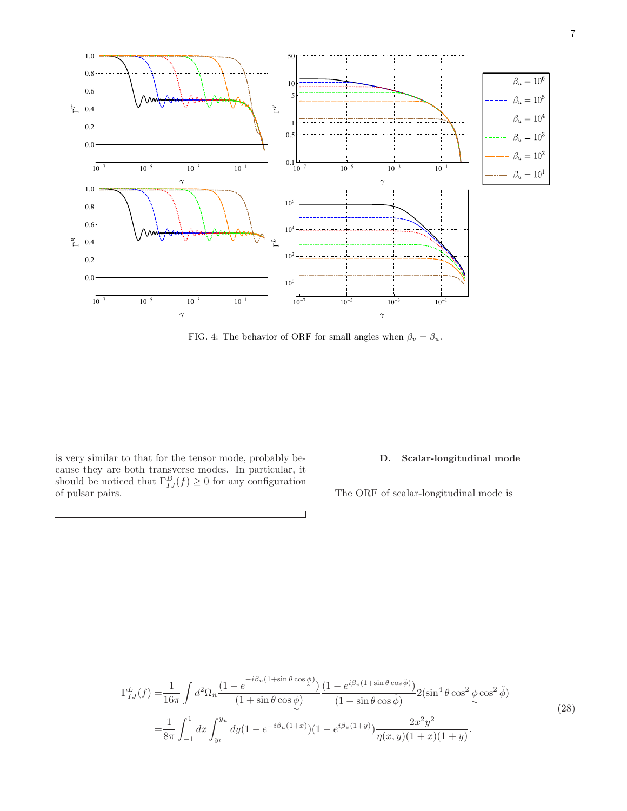

<span id="page-6-0"></span>FIG. 4: The behavior of ORF for small angles when  $\beta_v = \beta_u$ .

is very similar to that for the tensor mode, probably because they are both transverse modes. In particular, it should be noticed that  $\Gamma_{IJ}^B(f) \geq 0$  for any configuration of pulsar pairs.

## D. Scalar-longitudinal mode

The ORF of scalar-longitudinal mode is

$$
\Gamma_{IJ}^{L}(f) = \frac{1}{16\pi} \int d^{2}\Omega_{\hat{n}} \frac{(1 - e^{-i\beta_{u}(1 + \sin\theta\cos\phi)})}{(1 + \sin\theta\cos\phi)} \frac{(1 - e^{i\beta_{v}(1 + \sin\theta\cos\phi)})}{(1 + \sin\theta\cos\phi)} 2(\sin^{4}\theta\cos^{2}\phi\cos^{2}\phi)
$$
  

$$
= \frac{1}{8\pi} \int_{-1}^{1} dx \int_{y_{l}}^{y_{u}} dy (1 - e^{-i\beta_{u}(1+x)}) (1 - e^{i\beta_{v}(1+y)}) \frac{2x^{2}y^{2}}{\eta(x, y)(1 + x)(1 + y)}.
$$
 (28)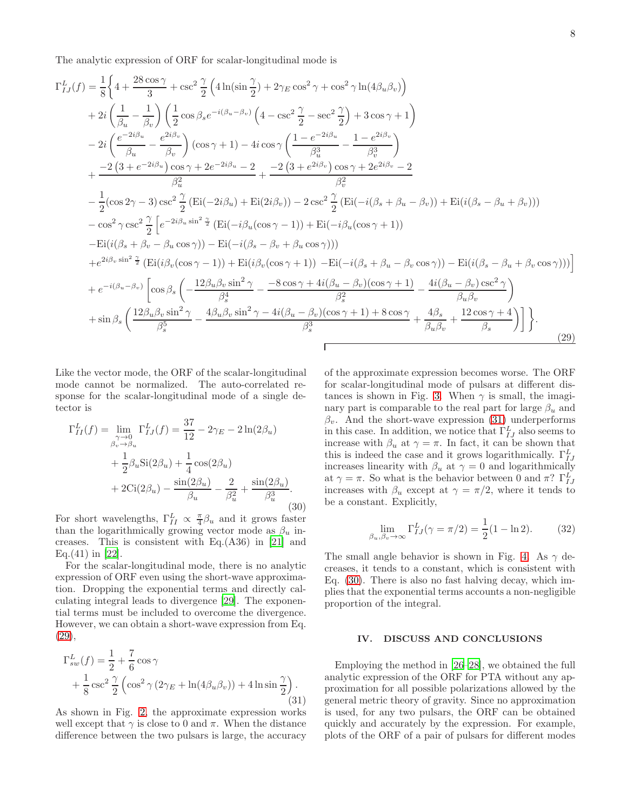The analytic expression of ORF for scalar-longitudinal mode is

<span id="page-7-1"></span>
$$
\Gamma_{IJ}^{L}(f) = \frac{1}{8} \left\{ 4 + \frac{28 \cos \gamma}{3} + \csc^{2} \frac{\gamma}{2} \left( 4 \ln(\sin \frac{\gamma}{2}) + 2 \gamma_{E} \cos^{2} \gamma + \cos^{2} \gamma \ln(4\beta_{u}\beta_{v}) \right) \right.\n+ 2i \left( \frac{1}{\beta_{u}} - \frac{1}{\beta_{v}} \right) \left( \frac{1}{2} \cos \beta_{s} e^{-i(\beta_{u}-\beta_{v})} \left( 4 - \csc^{2} \frac{\gamma}{2} - \sec^{2} \frac{\gamma}{2} \right) + 3 \cos \gamma + 1 \right)\n- 2i \left( \frac{e^{-2i\beta_{u}}}{\beta_{u}} - \frac{e^{2i\beta_{v}}}{\beta_{v}} \right) (\cos \gamma + 1) - 4i \cos \gamma \left( \frac{1 - e^{-2i\beta_{u}}}{\beta_{u}^{3}} - \frac{1 - e^{2i\beta_{v}}}{\beta_{v}^{3}} \right)\n+ \frac{-2 \left( 3 + e^{-2i\beta_{u}} \right) \cos \gamma + 2e^{-2i\beta_{u}} - 2}{\beta_{u}^{2}} + \frac{-2 \left( 3 + e^{2i\beta_{v}} \right) \cos \gamma + 2e^{2i\beta_{v}} - 2}{\beta_{v}^{2}}\n- \frac{1}{2} (\cos 2\gamma - 3) \csc^{2} \frac{\gamma}{2} (\text{Ei}(-2i\beta_{u}) + \text{Ei}(2i\beta_{v})) - 2 \csc^{2} \frac{\gamma}{2} (\text{Ei}(-i(\beta_{s} + \beta_{u} - \beta_{v})) + \text{Ei}(i(\beta_{s} - \beta_{u} + \beta_{v})))\n- \cos^{2} \gamma \csc^{2} \frac{\gamma}{2} \left[ e^{-2i\beta_{u} \sin^{2} \frac{\gamma}{2}} (\text{Ei}(-i\beta_{u}(\cos \gamma - 1)) + \text{Ei}(-i\beta_{u}(\cos \gamma + 1))\right]\n- \text{Ei}(i(\beta_{s} + \beta_{v} - \beta_{u} \cos \gamma)) - \text{Ei}(-i(\beta_{s} - \beta_{v} + \beta_{u} \cos \gamma))\right)\n+ e^{2i\beta_{v} \sin^{2} \frac{\gamma
$$

Like the vector mode, the ORF of the scalar-longitudinal mode cannot be normalized. The auto-correlated response for the scalar-longitudinal mode of a single detector is

<span id="page-7-3"></span>
$$
\Gamma_{II}^{L}(f) = \lim_{\substack{\gamma \to 0 \\ \beta_v \to \beta_u}} \Gamma_{IJ}^{L}(f) = \frac{37}{12} - 2\gamma_E - 2\ln(2\beta_u) \n+ \frac{1}{2}\beta_u \text{Si}(2\beta_u) + \frac{1}{4}\cos(2\beta_u) \n+ 2\text{Ci}(2\beta_u) - \frac{\sin(2\beta_u)}{\beta_u} - \frac{2}{\beta_u^2} + \frac{\sin(2\beta_u)}{\beta_u^3}.
$$
\n(30)

For short wavelengths,  $\Gamma_{II}^L \propto \frac{\pi}{4} \beta_u$  and it grows faster than the logarithmically growing vector mode as  $\beta_u$  increases. This is consistent with Eq.(A36) in [\[21](#page-12-17)] and Eq.(41) in [\[22](#page-12-18)].

For the scalar-longitudinal mode, there is no analytic expression of ORF even using the short-wave approximation. Dropping the exponential terms and directly calculating integral leads to divergence [\[29](#page-12-24)]. The exponential terms must be included to overcome the divergence. However, we can obtain a short-wave expression from Eq. [\(29\)](#page-7-1),

<span id="page-7-2"></span>
$$
\Gamma_{sw}^L(f) = \frac{1}{2} + \frac{7}{6}\cos\gamma
$$
  
+ 
$$
\frac{1}{8}\csc^2\frac{\gamma}{2}\left(\cos^2\gamma(2\gamma_E + \ln(4\beta_u\beta_v)) + 4\ln\sin\frac{\gamma}{2}\right).
$$
(31)

As shown in Fig. [2,](#page-3-0) the approximate expression works well except that  $\gamma$  is close to 0 and  $\pi$ . When the distance difference between the two pulsars is large, the accuracy of the approximate expression becomes worse. The ORF for scalar-longitudinal mode of pulsars at different dis-tances is shown in Fig. [3.](#page-3-1) When  $\gamma$  is small, the imaginary part is comparable to the real part for large  $\beta_u$  and  $\beta_v$ . And the short-wave expression [\(31\)](#page-7-2) underperforms in this case. In addition, we notice that  $\Gamma_{IJ}^L$  also seems to increase with  $\beta_u$  at  $\gamma = \pi$ . In fact, it can be shown that this is indeed the case and it grows logarithmically.  $\Gamma_{IJ}^L$ increases linearity with  $\beta_u$  at  $\gamma = 0$  and logarithmically at  $\gamma = \pi$ . So what is the behavior between 0 and  $\pi$ ?  $\Gamma_{IJ}^L$ increases with  $\beta_u$  except at  $\gamma = \pi/2$ , where it tends to be a constant. Explicitly,

$$
\lim_{\beta_u,\beta_v \to \infty} \Gamma^L_{IJ}(\gamma = \pi/2) = \frac{1}{2}(1 - \ln 2). \tag{32}
$$

The small angle behavior is shown in Fig. [4.](#page-6-0) As  $\gamma$  decreases, it tends to a constant, which is consistent with Eq. [\(30\)](#page-7-3). There is also no fast halving decay, which implies that the exponential terms accounts a non-negligible proportion of the integral.

### <span id="page-7-0"></span>IV. DISCUSS AND CONCLUSIONS

Employing the method in [\[26](#page-12-22)[–28\]](#page-12-23), we obtained the full analytic expression of the ORF for PTA without any approximation for all possible polarizations allowed by the general metric theory of gravity. Since no approximation is used, for any two pulsars, the ORF can be obtained quickly and accurately by the expression. For example, plots of the ORF of a pair of pulsars for different modes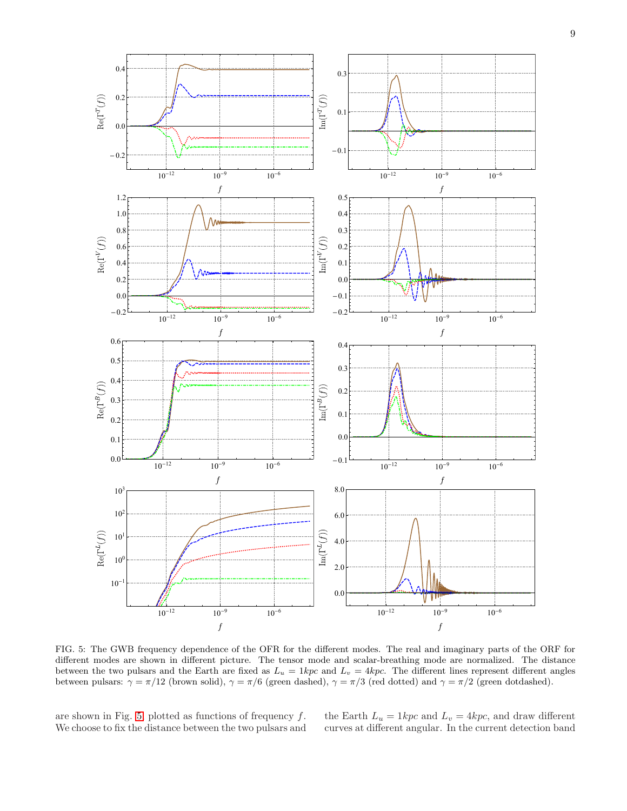

<span id="page-8-0"></span>FIG. 5: The GWB frequency dependence of the OFR for the different modes. The real and imaginary parts of the ORF for different modes are shown in different picture. The tensor mode and scalar-breathing mode are normalized. The distance between the two pulsars and the Earth are fixed as  $L_u = 1kpc$  and  $L_v = 4kpc$ . The different lines represent different angles between pulsars:  $\gamma = \pi/12$  (brown solid),  $\gamma = \pi/6$  (green dashed),  $\gamma = \pi/3$  (red dotted) and  $\gamma = \pi/2$  (green dotdashed).

are shown in Fig. [5,](#page-8-0) plotted as functions of frequency  $f$ . We choose to fix the distance between the two pulsars and the Earth  $L_u = 1kpc$  and  $L_v = 4kpc$ , and draw different curves at different angular. In the current detection band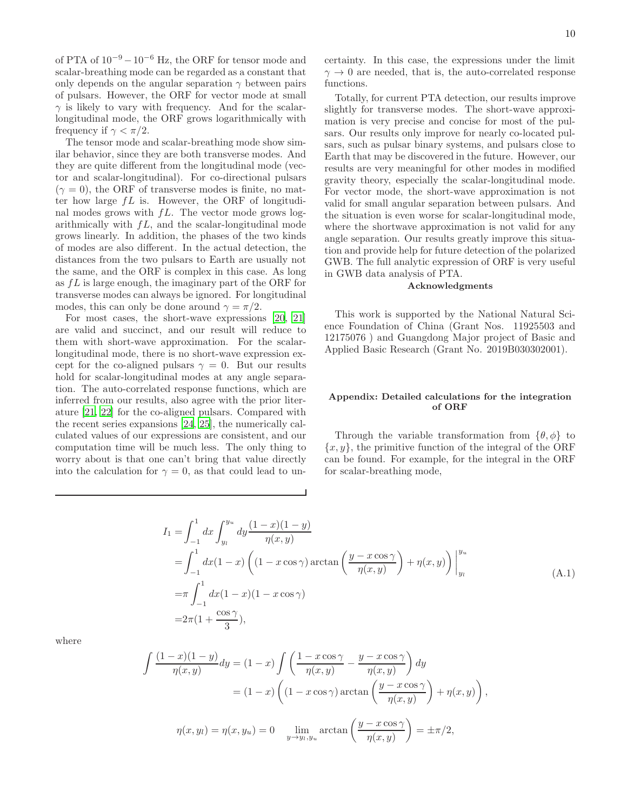of PTA of  $10^{-9} - 10^{-6}$  Hz, the ORF for tensor mode and scalar-breathing mode can be regarded as a constant that only depends on the angular separation  $\gamma$  between pairs of pulsars. However, the ORF for vector mode at small  $\gamma$  is likely to vary with frequency. And for the scalarlongitudinal mode, the ORF grows logarithmically with frequency if  $\gamma < \pi/2$ .

The tensor mode and scalar-breathing mode show similar behavior, since they are both transverse modes. And they are quite different from the longitudinal mode (vector and scalar-longitudinal). For co-directional pulsars  $(\gamma = 0)$ , the ORF of transverse modes is finite, no matter how large  $fL$  is. However, the ORF of longitudinal modes grows with  $fL$ . The vector mode grows logarithmically with  $fL$ , and the scalar-longitudinal mode grows linearly. In addition, the phases of the two kinds of modes are also different. In the actual detection, the distances from the two pulsars to Earth are usually not the same, and the ORF is complex in this case. As long as fL is large enough, the imaginary part of the ORF for transverse modes can always be ignored. For longitudinal modes, this can only be done around  $\gamma = \pi/2$ .

For most cases, the short-wave expressions [\[20](#page-12-16), [21](#page-12-17)] are valid and succinct, and our result will reduce to them with short-wave approximation. For the scalarlongitudinal mode, there is no short-wave expression except for the co-aligned pulsars  $\gamma = 0$ . But our results hold for scalar-longitudinal modes at any angle separation. The auto-correlated response functions, which are inferred from our results, also agree with the prior literature [\[21,](#page-12-17) [22\]](#page-12-18) for the co-aligned pulsars. Compared with the recent series expansions [\[24](#page-12-20), [25\]](#page-12-21), the numerically calculated values of our expressions are consistent, and our computation time will be much less. The only thing to worry about is that one can't bring that value directly into the calculation for  $\gamma = 0$ , as that could lead to uncertainty. In this case, the expressions under the limit  $\gamma \rightarrow 0$  are needed, that is, the auto-correlated response functions.

Totally, for current PTA detection, our results improve slightly for transverse modes. The short-wave approximation is very precise and concise for most of the pulsars. Our results only improve for nearly co-located pulsars, such as pulsar binary systems, and pulsars close to Earth that may be discovered in the future. However, our results are very meaningful for other modes in modified gravity theory, especially the scalar-longitudinal mode. For vector mode, the short-wave approximation is not valid for small angular separation between pulsars. And the situation is even worse for scalar-longitudinal mode, where the shortwave approximation is not valid for any angle separation. Our results greatly improve this situation and provide help for future detection of the polarized GWB. The full analytic expression of ORF is very useful in GWB data analysis of PTA.

#### Acknowledgments

This work is supported by the National Natural Science Foundation of China (Grant Nos. 11925503 and 12175076 ) and Guangdong Major project of Basic and Applied Basic Research (Grant No. 2019B030302001).

## Appendix: Detailed calculations for the integration of ORF

Through the variable transformation from  $\{\theta, \phi\}$  to  ${x, y}$ , the primitive function of the integral of the ORF can be found. For example, for the integral in the ORF for scalar-breathing mode,

$$
I_1 = \int_{-1}^{1} dx \int_{y_l}^{y_u} dy \frac{(1-x)(1-y)}{\eta(x,y)}
$$
  
= 
$$
\int_{-1}^{1} dx (1-x) \left( (1-x \cos \gamma) \arctan \left( \frac{y-x \cos \gamma}{\eta(x,y)} \right) + \eta(x,y) \right) \Big|_{y_l}^{y_u}
$$
  
= 
$$
\pi \int_{-1}^{1} dx (1-x)(1-x \cos \gamma)
$$
  
= 
$$
2\pi (1 + \frac{\cos \gamma}{3}),
$$
 (A.1)

where

$$
\int \frac{(1-x)(1-y)}{\eta(x,y)} dy = (1-x) \int \left( \frac{1-x \cos \gamma}{\eta(x,y)} - \frac{y-x \cos \gamma}{\eta(x,y)} \right) dy
$$

$$
= (1-x) \left( (1-x \cos \gamma) \arctan \left( \frac{y-x \cos \gamma}{\eta(x,y)} \right) + \eta(x,y) \right),
$$

$$
\eta(x,y_l) = \eta(x,y_u) = 0 \quad \lim_{y \to y_l, y_u} \arctan \left( \frac{y-x \cos \gamma}{\eta(x,y)} \right) = \pm \pi/2,
$$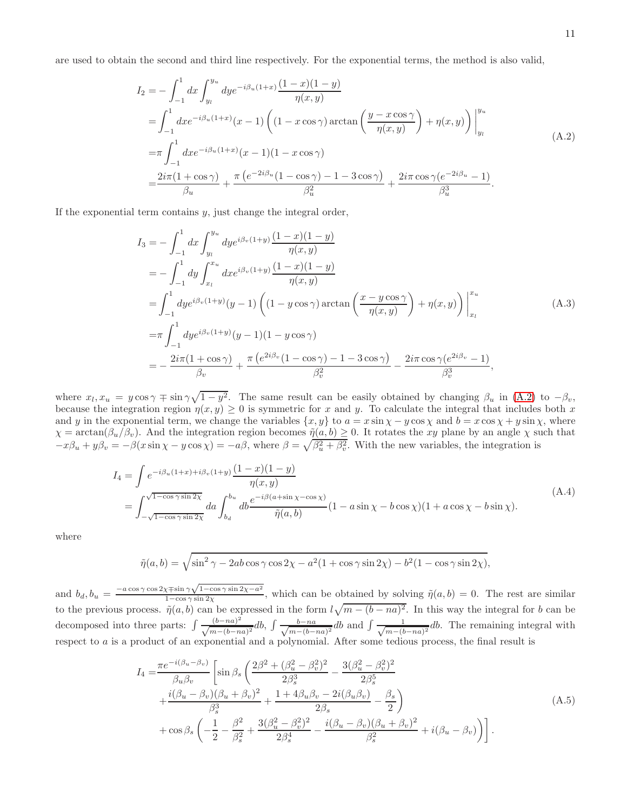are used to obtain the second and third line respectively. For the exponential terms, the method is also valid,

<span id="page-10-0"></span>
$$
I_2 = -\int_{-1}^{1} dx \int_{y_l}^{y_u} dy e^{-i\beta_u(1+x)} \frac{(1-x)(1-y)}{\eta(x,y)}
$$
  
= 
$$
\int_{-1}^{1} dx e^{-i\beta_u(1+x)} (x-1) \left( (1-x \cos \gamma) \arctan \left( \frac{y-x \cos \gamma}{\eta(x,y)} \right) + \eta(x,y) \right) \Big|_{y_l}^{y_u}
$$
  
= 
$$
\pi \int_{-1}^{1} dx e^{-i\beta_u(1+x)} (x-1)(1-x \cos \gamma)
$$
  
= 
$$
\frac{2i\pi (1+\cos \gamma)}{\beta_u} + \frac{\pi (e^{-2i\beta_u}(1-\cos \gamma)-1-3\cos \gamma)}{\beta_u^2} + \frac{2i\pi \cos \gamma (e^{-2i\beta_u}-1)}{\beta_u^3}.
$$
 (A.2)

If the exponential term contains  $y$ , just change the integral order,

$$
I_{3} = -\int_{-1}^{1} dx \int_{y_{l}}^{y_{u}} dy e^{i\beta_{v}(1+y)} \frac{(1-x)(1-y)}{\eta(x,y)}
$$
  
\n
$$
= -\int_{-1}^{1} dy \int_{x_{l}}^{x_{u}} dx e^{i\beta_{v}(1+y)} \frac{(1-x)(1-y)}{\eta(x,y)}
$$
  
\n
$$
= \int_{-1}^{1} dy e^{i\beta_{v}(1+y)} (y-1) \left( (1-y \cos \gamma) \arctan \left( \frac{x-y \cos \gamma}{\eta(x,y)} \right) + \eta(x,y) \right) \Big|_{x_{l}}^{x_{u}}
$$
  
\n
$$
= \pi \int_{-1}^{1} dy e^{i\beta_{v}(1+y)} (y-1)(1-y \cos \gamma)
$$
  
\n
$$
= -\frac{2i\pi (1+\cos \gamma)}{\beta_{v}} + \frac{\pi (e^{2i\beta_{v}} (1-\cos \gamma)-1-3\cos \gamma)}{\beta_{v}^{2}} - \frac{2i\pi \cos \gamma (e^{2i\beta_{v}}-1)}{\beta_{v}^{3}},
$$
\n(A.3)

where  $x_l$ ,  $x_u = y \cos \gamma \mp \sin \gamma \sqrt{1 - y^2}$ . The same result can be easily obtained by changing  $\beta_u$  in [\(A.2\)](#page-10-0) to  $-\beta_v$ , because the integration region  $\eta(x, y) \geq 0$  is symmetric for x and y. To calculate the integral that includes both x and y in the exponential term, we change the variables  $\{x, y\}$  to  $a = x \sin \chi - y \cos \chi$  and  $b = x \cos \chi + y \sin \chi$ , where  $\chi = \arctan(\beta_u/\beta_v)$ . And the integration region becomes  $\tilde{\eta}(a, b) \ge 0$ . It rotates the xy plane by an angle  $\chi$  such that  $-x\beta_u + y\beta_v = -\beta(x\sin\chi - y\cos\chi) = -a\beta$ , where  $\beta = \sqrt{\beta_u^2 + \beta_v^2}$ . With the new variables, the integration is

$$
I_4 = \int e^{-i\beta_u(1+x) + i\beta_v(1+y)} \frac{(1-x)(1-y)}{\eta(x,y)}
$$
  
= 
$$
\int_{-\sqrt{1-\cos\gamma\sin 2\chi}}^{\sqrt{1-\cos\gamma\sin 2\chi}} da \int_{b_d}^{b_u} db \frac{e^{-i\beta(a+\sin\chi-\cos\chi)}}{\tilde{\eta}(a,b)} (1-a\sin\chi-b\cos\chi)(1+a\cos\chi-b\sin\chi).
$$
 (A.4)

where

$$
\tilde{\eta}(a,b) = \sqrt{\sin^2 \gamma - 2ab \cos \gamma \cos 2\chi - a^2(1 + \cos \gamma \sin 2\chi) - b^2(1 - \cos \gamma \sin 2\chi)},
$$

and  $b_d$ ,  $b_u = \frac{-a \cos \gamma \cos 2\chi + \sin \gamma \sqrt{1 - \cos \gamma \sin 2\chi - a^2}}{1 - \cos \gamma \sin 2\chi}$  $\frac{\tilde{\gamma}(\pi) \sin \gamma \sqrt{1-\cos \gamma \sin 2\chi}}{1-\cos \gamma \sin 2\chi}$ , which can be obtained by solving  $\tilde{\eta}(a, b) = 0$ . The rest are similar to the previous process.  $\tilde{\eta}(a, b)$  can be expressed in the form  $l\sqrt{m - (b - na)^2}$ . In this way the integral for b can be decomposed into three parts:  $\int \frac{(b-na)^2}{\sqrt{m-(b-na)^2}} db$ ,  $\int \frac{b-na}{\sqrt{m-(b-a)^2}}$  $\frac{b-na}{m-(b-na)^2}$ db and  $\int \frac{1}{\sqrt{m-(b-a)^2}}$  $\frac{1}{(m-(b-na)^2}db$ . The remaining integral with respect to a is a product of an exponential and a polynomial. After some tedious process, the final result is

$$
I_{4} = \frac{\pi e^{-i(\beta_{u}-\beta_{v})}}{\beta_{u}\beta_{v}} \left[ \sin \beta_{s} \left( \frac{2\beta^{2} + (\beta_{u}^{2} - \beta_{v}^{2})^{2}}{2\beta_{s}^{3}} - \frac{3(\beta_{u}^{2} - \beta_{v}^{2})^{2}}{2\beta_{s}^{5}} + \frac{i(\beta_{u} - \beta_{v})(\beta_{u} + \beta_{v})^{2}}{\beta_{s}^{3}} + \frac{1 + 4\beta_{u}\beta_{v} - 2i(\beta_{u}\beta_{v})}{2\beta_{s}} - \frac{\beta_{s}}{2} \right) + \cos \beta_{s} \left( -\frac{1}{2} - \frac{\beta^{2}}{\beta_{s}^{2}} + \frac{3(\beta_{u}^{2} - \beta_{v}^{2})^{2}}{2\beta_{s}^{4}} - \frac{i(\beta_{u} - \beta_{v})(\beta_{u} + \beta_{v})^{2}}{\beta_{s}^{2}} + i(\beta_{u} - \beta_{v}) \right) \right].
$$
\n(A.5)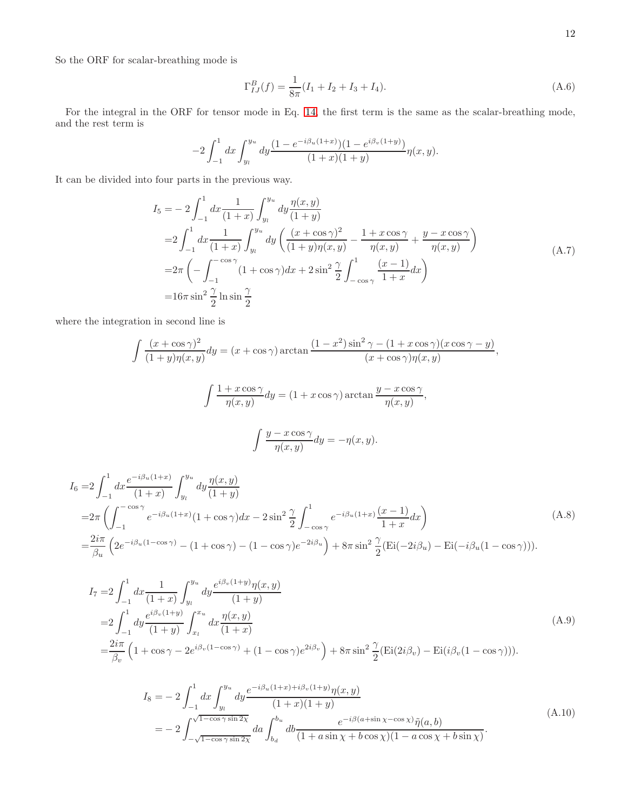So the ORF for scalar-breathing mode is

$$
\Gamma_{IJ}^B(f) = \frac{1}{8\pi} (I_1 + I_2 + I_3 + I_4).
$$
\n(A.6)

For the integral in the ORF for tensor mode in Eq. [14,](#page-2-1) the first term is the same as the scalar-breathing mode, and the rest term is

$$
-2\int_{-1}^1 dx \int_{y_l}^{y_u} dy \frac{(1 - e^{-i\beta_u(1+x)})(1 - e^{i\beta_v(1+y)})}{(1+x)(1+y)} \eta(x, y).
$$

It can be divided into four parts in the previous way.

$$
I_5 = -2 \int_{-1}^{1} dx \frac{1}{(1+x)} \int_{y_l}^{y_u} dy \frac{\eta(x, y)}{(1+y)} = 2 \int_{-1}^{1} dx \frac{1}{(1+x)} \int_{y_l}^{y_u} dy \left( \frac{(x + \cos \gamma)^2}{(1+y)\eta(x, y)} - \frac{1+x \cos \gamma}{\eta(x, y)} + \frac{y - x \cos \gamma}{\eta(x, y)} \right) = 2\pi \left( -\int_{-1}^{-\cos \gamma} (1 + \cos \gamma) dx + 2 \sin^2 \frac{\gamma}{2} \int_{-\cos \gamma}^{1} \frac{(x-1)}{1+x} dx \right) = 16\pi \sin^2 \frac{\gamma}{2} \ln \sin \frac{\gamma}{2}
$$
 (A.7)

where the integration in second line is

$$
\int \frac{(x+\cos\gamma)^2}{(1+y)\eta(x,y)} dy = (x+\cos\gamma)\arctan\frac{(1-x^2)\sin^2\gamma - (1+x\cos\gamma)(x\cos\gamma - y)}{(x+\cos\gamma)\eta(x,y)},
$$

$$
\int \frac{1+x\cos\gamma}{\eta(x,y)} dy = (1+x\cos\gamma)\arctan\frac{y-x\cos\gamma}{\eta(x,y)},
$$

$$
\int \frac{y-x\cos\gamma}{\eta(x,y)} dy = -\eta(x,y).
$$

$$
I_6 = 2 \int_{-1}^{1} dx \frac{e^{-i\beta_u(1+x)}}{(1+x)} \int_{y_l}^{y_u} dy \frac{\eta(x,y)}{(1+y)} = 2\pi \left( \int_{-1}^{-\cos\gamma} e^{-i\beta_u(1+x)} (1+\cos\gamma) dx - 2\sin^2\frac{\gamma}{2} \int_{-\cos\gamma}^{1} e^{-i\beta_u(1+x)} \frac{(x-1)}{1+x} dx \right) = \frac{2i\pi}{\beta_u} \left( 2e^{-i\beta_u(1-\cos\gamma)} - (1+\cos\gamma) - (1-\cos\gamma)e^{-2i\beta_u} \right) + 8\pi \sin^2\frac{\gamma}{2} (\text{Ei}(-2i\beta_u) - \text{Ei}(-i\beta_u(1-\cos\gamma))).
$$
\n(A.8)

$$
I_{7} = 2 \int_{-1}^{1} dx \frac{1}{(1+x)} \int_{y_{l}}^{y_{u}} dy \frac{e^{i\beta_{v}(1+y)} \eta(x,y)}{(1+y)} = 2 \int_{-1}^{1} dy \frac{e^{i\beta_{v}(1+y)}}{(1+y)} \int_{x_{l}}^{x_{u}} dx \frac{\eta(x,y)}{(1+x)} = \frac{2i\pi}{\beta_{v}} \left( 1 + \cos\gamma - 2e^{i\beta_{v}(1-\cos\gamma)} + (1 - \cos\gamma)e^{2i\beta_{v}} \right) + 8\pi \sin^{2} \frac{\gamma}{2} (\text{Ei}(2i\beta_{v}) - \text{Ei}(i\beta_{v}(1-\cos\gamma))).
$$
\n(A.9)

$$
I_8 = -2 \int_{-1}^{1} dx \int_{y_l}^{y_u} dy \frac{e^{-i\beta_u(1+x) + i\beta_v(1+y)} \eta(x, y)}{(1+x)(1+y)} = -2 \int_{-\sqrt{1-\cos\gamma\sin 2\chi}}^{\sqrt{1-\cos\gamma\sin 2\chi}} da \int_{b_d}^{b_u} db \frac{e^{-i\beta(a+\sin\chi-\cos\chi)} \tilde{\eta}(a, b)}{(1+a\sin\chi+b\cos\chi)(1-a\cos\chi+b\sin\chi)}.
$$
(A.10)